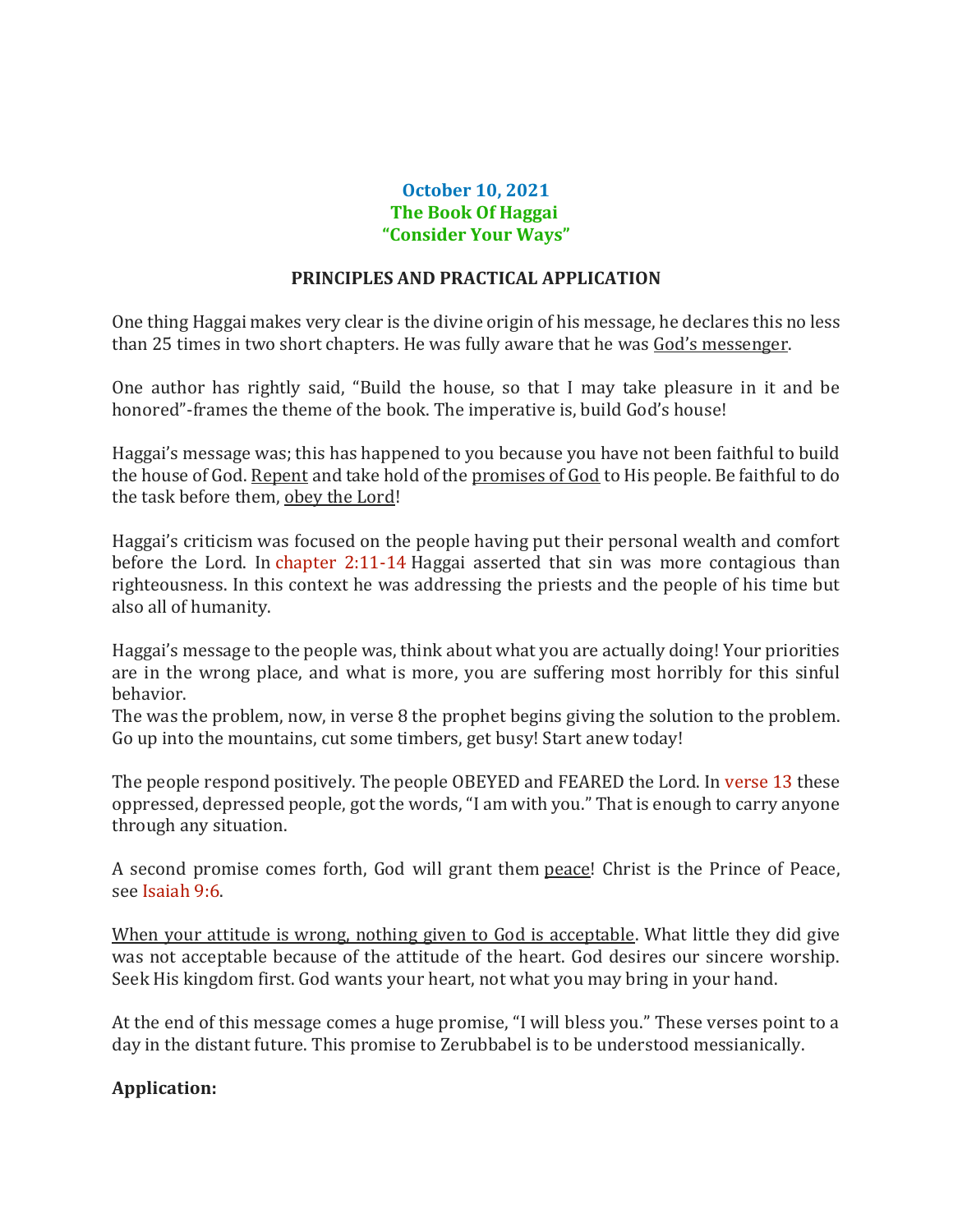## **October 10, 2021 The Book Of Haggai "Consider Your Ways"**

## **PRINCIPLES AND PRACTICAL APPLICATION**

One thing Haggai makes very clear is the divine origin of his message, he declares this no less than 25 times in two short chapters. He was fully aware that he was God's messenger.

One author has rightly said, "Build the house, so that I may take pleasure in it and be honored"-frames the theme of the book. The imperative is, build God's house!

Haggai's message was; this has happened to you because you have not been faithful to build the house of God. Repent and take hold of the promises of God to His people. Be faithful to do the task before them, obey the Lord!

Haggai's criticism was focused on the people having put their personal wealth and comfort before the Lord. In chapter 2:11-14 Haggai asserted that sin was more contagious than righteousness. In this context he was addressing the priests and the people of his time but also all of humanity.

Haggai's message to the people was, think about what you are actually doing! Your priorities are in the wrong place, and what is more, you are suffering most horribly for this sinful behavior.

The was the problem, now, in verse 8 the prophet begins giving the solution to the problem. Go up into the mountains, cut some timbers, get busy! Start anew today!

The people respond positively. The people OBEYED and FEARED the Lord. In verse 13 these oppressed, depressed people, got the words, "I am with you." That is enough to carry anyone through any situation.

A second promise comes forth, God will grant them peace! Christ is the Prince of Peace, see Isaiah 9:6.

When your attitude is wrong, nothing given to God is acceptable. What little they did give was not acceptable because of the attitude of the heart. God desires our sincere worship. Seek His kingdom first. God wants your heart, not what you may bring in your hand.

At the end of this message comes a huge promise, "I will bless you." These verses point to a day in the distant future. This promise to Zerubbabel is to be understood messianically.

## **Application:**